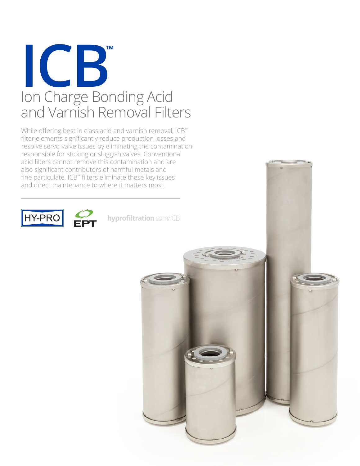

While offering best in class acid and varnish removal, ICB™ filter elements significantly reduce production losses and resolve servo-valve issues by eliminating the contamination responsible for sticking or sluggish valves. Conventional acid filters cannot remove this contamination and are also significant contributors of harmful metals and fine particulate. ICB™ filters eliminate these key issues and direct maintenance to where it matters most.





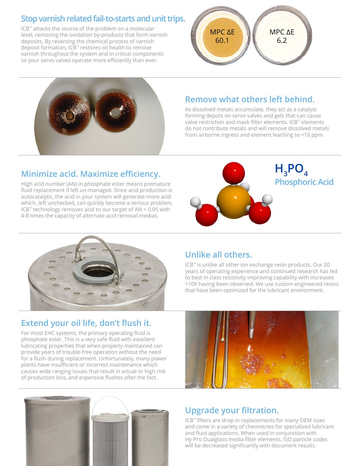#### **Stop varnish related fail-to-starts and unit trips.**

ICB™ attacks the source of the problem on a molecular level, removing the oxidation by-products that form varnish deposits. By reversing the chemical process of varnish deposit formation, ICB™ restores oil health to remove varnish throughout the system and in critical components so your servo valves operate more efficiently than ever.





## **Remove what others left behind.**

As dissolved metals accumulate, they act as a catalyst forming depots on servo valves and gels that can cause valve restriction and mask filter elements. ICB™ elements do not contribute metals and will remove dissolved metals from airborne ingress and element leaching to <10 ppm.

## **Minimize acid. Maximize efficiency.**

High acid number (AN) in phosphate ester means premature fluid replacement if left un-managed. Since acid production is autocatalytic, the acid in your system will generate more acid which, left unchecked, can quickly become a serious problem. ICB™ technology removes acid to our target of AN < 0.05 with 4-8 times the capacity of alternate acid removal medias.





### **Unlike all others.**

ICB™ is unlike all other ion exchange resin products. Our 20 years of operating experience and continued research has led to best in class resistivity improving capability with increases >10X having been observed. We use custom engineered resins that have been optimized for the lubricant environment.

### **Extend your oil life, don't flush it.**

For most EHC systems, the primary operating fluid is phosphate ester. This is a very safe fluid with excellent lubricating properties that when properly maintained can provide years of trouble-free operation without the need for a flush during replacement. Unfortunately, many power plants have insufficient or incorrect maintenance which causes wide ranging issues that result in actual or high risk of production loss, and expensive flushes after the fact.





### **Upgrade your filtration.**

ICB™ filters are drop in replacements for many OEM sizes and come in a variety of chemistries for specialized lubricant and fluid applications. When used in conjunction with Hy-Pro Dualglass media filter elements, ISO particle codes will be decreased significantly with document results.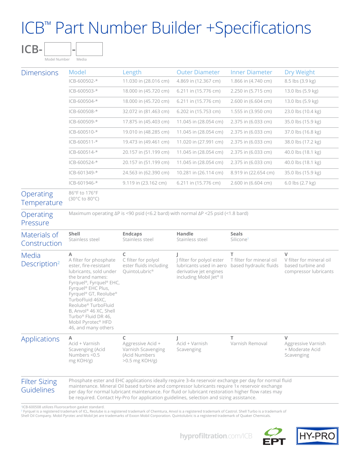# ICB™ Part Number Builder +Specifications

|--|

Model Number Media

| <b>Dimensions</b>                  | Model                                                                                                                                                                                                                                                                                                                                         | Length                                                                            | <b>Outer Diameter</b>                                                                                                                                                                                                                                                                                                                                                                                     | <b>Inner Diameter</b>                                   | Dry Weight                                                                       |  |
|------------------------------------|-----------------------------------------------------------------------------------------------------------------------------------------------------------------------------------------------------------------------------------------------------------------------------------------------------------------------------------------------|-----------------------------------------------------------------------------------|-----------------------------------------------------------------------------------------------------------------------------------------------------------------------------------------------------------------------------------------------------------------------------------------------------------------------------------------------------------------------------------------------------------|---------------------------------------------------------|----------------------------------------------------------------------------------|--|
|                                    | ICB-600502-*                                                                                                                                                                                                                                                                                                                                  | 11.030 in (28.016 cm)                                                             | 4.869 in (12.367 cm)                                                                                                                                                                                                                                                                                                                                                                                      | 1.866 in (4.740 cm)                                     | 8.5 lbs (3.9 kg)                                                                 |  |
|                                    | ICB-600503-*                                                                                                                                                                                                                                                                                                                                  | 18.000 in (45.720 cm)                                                             | 6.211 in (15.776 cm)                                                                                                                                                                                                                                                                                                                                                                                      | 2.250 in (5.715 cm)                                     | 13.0 lbs (5.9 kg)                                                                |  |
|                                    | $ICB-600504-*$                                                                                                                                                                                                                                                                                                                                | 18.000 in (45.720 cm)                                                             | 6.211 in (15.776 cm)                                                                                                                                                                                                                                                                                                                                                                                      | 2.600 in (6.604 cm)                                     | 13.0 lbs (5.9 kg)                                                                |  |
|                                    | ICB-600508-*                                                                                                                                                                                                                                                                                                                                  | 32.072 in (81.463 cm)                                                             | 6.202 in (15.753 cm)                                                                                                                                                                                                                                                                                                                                                                                      | 1.555 in (3.950 cm)                                     | 23.0 lbs (10.4 kg)                                                               |  |
|                                    | $ICB-600509-*$                                                                                                                                                                                                                                                                                                                                | 17.875 in (45.403 cm)                                                             | 11.045 in (28.054 cm)                                                                                                                                                                                                                                                                                                                                                                                     | 2.375 in (6.033 cm)                                     | 35.0 lbs (15.9 kg)                                                               |  |
|                                    | ICB-600510-*                                                                                                                                                                                                                                                                                                                                  | 19.010 in (48.285 cm)                                                             | 11.045 in (28.054 cm)                                                                                                                                                                                                                                                                                                                                                                                     | 2.375 in (6.033 cm)                                     | 37.0 lbs (16.8 kg)                                                               |  |
|                                    | $ICB-600511-$ *                                                                                                                                                                                                                                                                                                                               | 19.473 in (49.461 cm)                                                             | 11.020 in (27.991 cm)                                                                                                                                                                                                                                                                                                                                                                                     | 2.375 in (6.033 cm)                                     | 38.0 lbs (17.2 kg)                                                               |  |
|                                    | ICB-600514-*                                                                                                                                                                                                                                                                                                                                  | 20.157 in (51.199 cm)                                                             | 11.045 in (28.054 cm)                                                                                                                                                                                                                                                                                                                                                                                     | 2.375 in (6.033 cm)                                     | 40.0 lbs (18.1 kg)                                                               |  |
|                                    | ICB-600524-*                                                                                                                                                                                                                                                                                                                                  | 20.157 in (51.199 cm)                                                             | 11.045 in (28.054 cm)                                                                                                                                                                                                                                                                                                                                                                                     | 2.375 in (6.033 cm)                                     | 40.0 lbs (18.1 kg)                                                               |  |
|                                    | ICB-601349-*                                                                                                                                                                                                                                                                                                                                  | 24.563 in (62.390 cm)                                                             | 10.281 in (26.114 cm)                                                                                                                                                                                                                                                                                                                                                                                     | 8.919 in (22.654 cm)                                    | 35.0 lbs (15.9 kg)                                                               |  |
|                                    | ICB-601946-*                                                                                                                                                                                                                                                                                                                                  | 9.119 in (23.162 cm)                                                              | 6.211 in (15.776 cm)                                                                                                                                                                                                                                                                                                                                                                                      | 2.600 in (6.604 cm)                                     | 6.0 lbs $(2.7 \text{ kg})$                                                       |  |
| Operating<br>Temperature           | 86°F to 176°F<br>$(30^{\circ}$ C to $80^{\circ}$ C)                                                                                                                                                                                                                                                                                           |                                                                                   |                                                                                                                                                                                                                                                                                                                                                                                                           |                                                         |                                                                                  |  |
| Operating<br>Pressure              | Maximum operating ΔP is <90 psid (<6.2 bard) with normal ΔP <25 psid (<1.8 bard)                                                                                                                                                                                                                                                              |                                                                                   |                                                                                                                                                                                                                                                                                                                                                                                                           |                                                         |                                                                                  |  |
| Materials of<br>Construction       | Shell<br>Stainless steel                                                                                                                                                                                                                                                                                                                      | <b>Endcaps</b><br>Stainless steel                                                 | Handle<br>Stainless steel                                                                                                                                                                                                                                                                                                                                                                                 | <b>Seals</b><br>Silicone <sup>1</sup>                   |                                                                                  |  |
| Media<br>Description <sup>2</sup>  | A<br>A filter for phosphate<br>ester, fire-resistant<br>lubricants, sold under<br>the brand names:<br>Fyrquel®, Fyrquel® EHC,<br>Fyrquel® EHC Plus,<br>Fyrquel® GT, Reolube®<br>TurboFluid 46XC,<br>Reolube® TurboFluid<br>B, Anvol® 46 XC, Shell<br>Turbo <sup>®</sup> Fluid DR 46,<br>Mobil Pyrotec <sup>®</sup> HFD<br>46, and many others | $\mathsf C$<br>C filter for polyol<br>ester fluids including<br>QuintoLubric®     | J<br>J filter for polyol ester<br>lubricants used in aero<br>derivative jet engines<br>including Mobil Jet <sup>®</sup> II                                                                                                                                                                                                                                                                                | T<br>T filter for mineral oil<br>based hydraulic fluids | $\vee$<br>V filter for mineral oil<br>based turbine and<br>compressor lubricants |  |
| Applications                       | Α<br>Acid + Varnish<br>Scavenging (Acid<br>Numbers <0.5<br>mg KOH/g)                                                                                                                                                                                                                                                                          | c<br>Aggressive Acid +<br>Varnish Scavenging<br>(Acid Numbers<br>$>0.5$ mg KOH/g) | Acid + Varnish<br>Scavenging                                                                                                                                                                                                                                                                                                                                                                              | т<br>Varnish Removal                                    | V<br>Aggressive Varnish<br>+ Moderate Acid<br>Scavenging                         |  |
| <b>Filter Sizing</b><br>Guidelines |                                                                                                                                                                                                                                                                                                                                               |                                                                                   | Phosphate ester and EHC applications ideally require 3-4x reservoir exchange per day for normal fluid<br>maintenance. Mineral Oil based turbine and compressor lubricants require 1x reservoir exchange<br>per day for normal lubricant maintenance. For fluid or lubricant restoration higher flow rates may<br>be required. Contact Hy-Pro for application guidelines, selection and sizing assistance. |                                                         |                                                                                  |  |

'ICB-600508 utilizes Fluorocarbon gasket standard.<br><sup>2</sup> Fyrquel is a registered trademark of ICL, Reolube is a registered trademark of Chemtura, Anvol is a registered trademark of Castrol. Shell Turbo is a trademark of Shell Oil Company. Mobil Pyrotec and Mobil Jet are trademarks of Exxon Mobil Corporation. Quintolubric is a registered trademark of Quaker Chemicals.